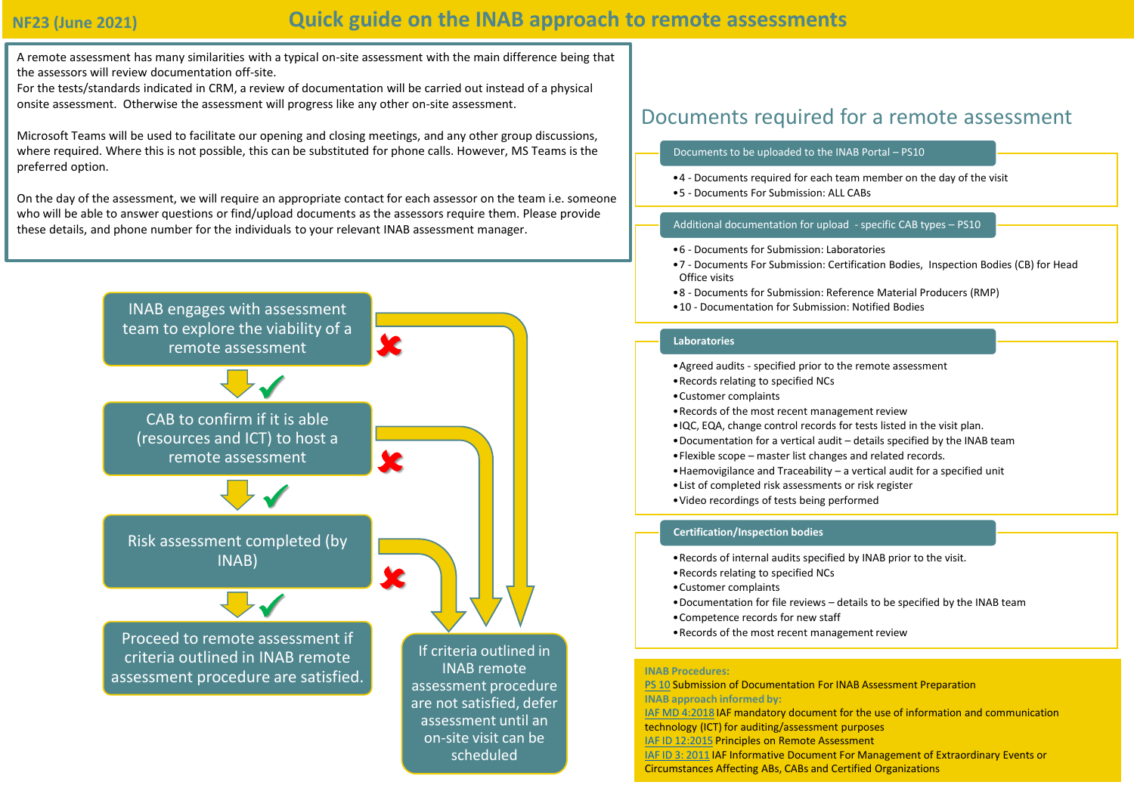## **NF23 (June 2021)**

# **Quick guide on the INAB approach to remote assessments**

A remote assessment has many similarities with a typical on-site assessment with the main difference being that the assessors will review documentation off-site.

For the tests/standards indicated in CRM, a review of documentation will be carried out instead of a physical onsite assessment. Otherwise the assessment will progress like any other on-site assessment.

Microsoft Teams will be used to facilitate our opening and closing meetings, and any other group discussions, where required. Where this is not possible, this can be substituted for phone calls. However, MS Teams is the preferred option.

On the day of the assessment, we will require an appropriate contact for each assessor on the team i.e. someone who will be able to answer questions or find/upload documents as the assessors require them. Please provide these details, and phone number for the individuals to your relevant INAB assessment manager.



scheduled

## Documents required for a remote assessment

#### Documents to be uploaded to the INAB Portal – PS10

- •4 Documents required for each team member on the day of the visit
- •5 Documents For Submission: ALL CABs

### Additional documentation for upload - specific CAB types – PS10

- •6 Documents for Submission: Laboratories
- •7 Documents For Submission: Certification Bodies, Inspection Bodies (CB) for Head Office visits
- •8 Documents for Submission: Reference Material Producers (RMP)
- •10 Documentation for Submission: Notified Bodies

#### **Laboratories**

- •Agreed audits specified prior to the remote assessment
- •Records relating to specified NCs
- •Customer complaints
- •Records of the most recent management review
- •IQC, EQA, change control records for tests listed in the visit plan.
- •Documentation for a vertical audit details specified by the INAB team
- •Flexible scope master list changes and related records.
- •Haemovigilance and Traceability a vertical audit for a specified unit
- •List of completed risk assessments or risk register
- •Video recordings of tests being performed

#### **Certification/Inspection bodies**

- •Records of internal audits specified by INAB prior to the visit.
- •Records relating to specified NCs
- •Customer complaints
- •Documentation for file reviews details to be specified by the INAB team
- •Competence records for new staff
- •Records of the most recent management review

#### **INAB Procedures:**

[PS 10](https://www.inab.ie/Documents-Forms/Policy/Submission-of-Documentation-in-preparation-of-an-INAB-visit-PDF-8-Pages-246KB-.pdf) Submission of Documentation For INAB Assessment Preparation **INAB approach informed by:** [IAF MD 4:2018](https://european-accreditation.org/wp-content/uploads/2018/10/232846.IAF-MD4-2008-CAAT_Pub.pdf) IAF mandatory document for the use of information and communication technology (ICT) for auditing/assessment purposes [IAF ID 12:2015](https://www.iaf.nu/upFiles/IAFID12PrinciplesRemoteAssessment22122015.pdf) Principles on Remote Assessment [IAF ID 3: 2011](https://www.iaf.nu/upFiles/IAFID32011_Management_of_Extraordinary_Events_or_Circumstances.pdf) IAF Informative Document For Management of Extraordinary Events or Circumstances Affecting ABs, CABs and Certified Organizations